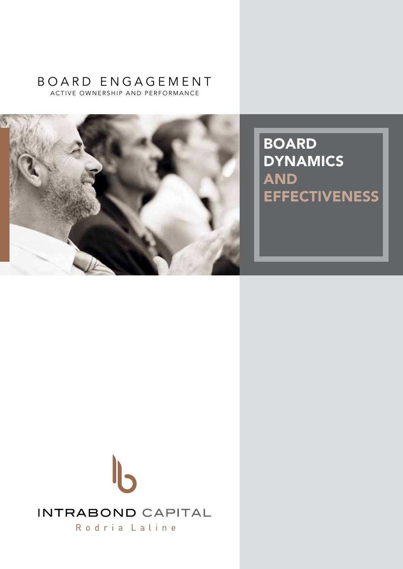## ACTIVE OWNERSHIP AND PERFORMANCE b oard en g a g ement



BOARD **DYNAMICS** AND **EFFECTIVENESS** 

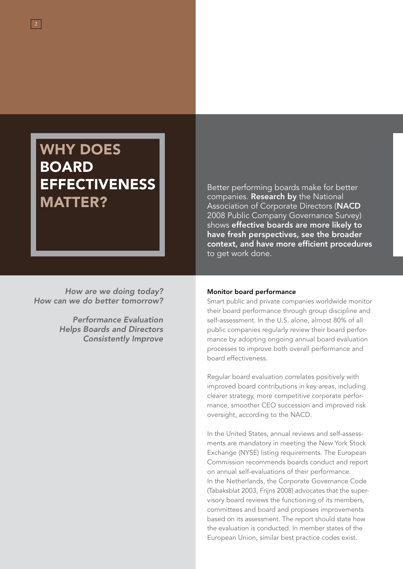## **WHY DOES BOARD EFFECTIVENESS** MATTER?

*How are we doing today? How can we do better tomorrow?*

> *Performance Evaluation Helps Boards and Directors Consistently Improve*

Better performing boards make for better companies. Research by the National Association of Corporate Directors (NACD 2008 Public Company Governance Survey) shows effective boards are more likely to have fresh perspectives, see the broader context, and have more efficient procedures to get work done.

#### Monitor board performance

Smart public and private companies worldwide monitor their board performance through group discipline and self-assessment. In the U.S. alone, almost 80% of all public companies regularly review their board performance by adopting ongoing annual board evaluation processes to improve both overall performance and board effectiveness.

Regular board evaluation correlates positively with improved board contributions in key areas, including clearer strategy, more competitive corporate performance, smoother CEO succession and improved risk oversight, according to the NACD.

In the United States, annual reviews and self-assessments are mandatory in meeting the New York Stock Exchange (NYSE) listing requirements. The European Commission recommends boards conduct and report on annual self-evaluations of their performance. In the Netherlands, the Corporate Governance Code (Tabaksblat 2003, Frijns 2008) advocates that the supervisory board reviews the functioning of its members, committees and board and proposes improvements based on its assessment. The report should state how the evaluation is conducted. In member states of the European Union, similar best practice codes exist.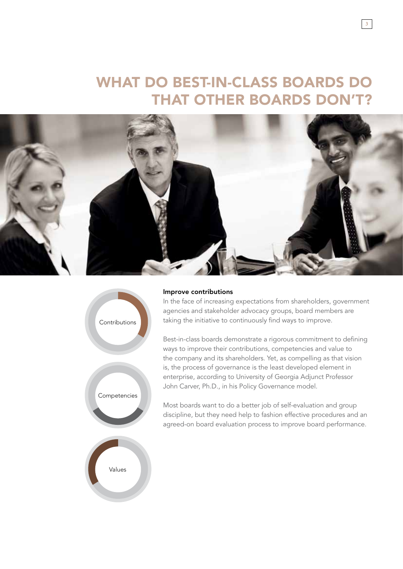## What do best-in-class boards do **THAT OTHER BOARDS DON'T?**





#### Improve contributions

In the face of increasing expectations from shareholders, government agencies and stakeholder advocacy groups, board members are taking the initiative to continuously find ways to improve.

Best-in-class boards demonstrate a rigorous commitment to defining ways to improve their contributions, competencies and value to the company and its shareholders. Yet, as compelling as that vision is, the process of governance is the least developed element in enterprise, according to University of Georgia Adjunct Professor John Carver, Ph.D., in his Policy Governance model.

Most boards want to do a better job of self-evaluation and group discipline, but they need help to fashion effective procedures and an agreed-on board evaluation process to improve board performance.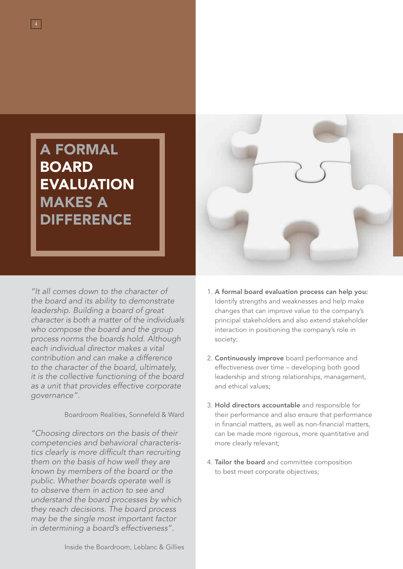# A Formal **BOARD EVALUATION** Makes a **DIFFERENCE**

*"It all comes down to the character of the board and its ability to demonstrate leadership. Building a board of great character is both a matter of the individuals who compose the board and the group process norms the boards hold. Although each individual director makes a vital contribution and can make a difference to the character of the board, ultimately, it is the collective functioning of the board as a unit that provides effective corporate governance".* 

Boardroom Realities, Sonnefeld & Ward

*"Choosing directors on the basis of their competencies and behavioral characteristics clearly is more difficult than recruiting them on the basis of how well they are known by members of the board or the public. Whether boards operate well is to observe them in action to see and understand the board processes by which they reach decisions. The board process may be the single most important factor in determining a board's effectiveness".* 



- 1. A formal board evaluation process can help you: Identify strengths and weaknesses and help make changes that can improve value to the company's principal stakeholders and also extend stakeholder interaction in positioning the company's role in society;
- 2. Continuously improve board performance and effectiveness over time – developing both good leadership and strong relationships, management, and ethical values;
- 3. Hold directors accountable and responsible for their performance and also ensure that performance in financial matters, as well as non-financial matters, can be made more rigorous, more quantitative and more clearly relevant;
- 4. Tailor the board and committee composition to best meet corporate objectives;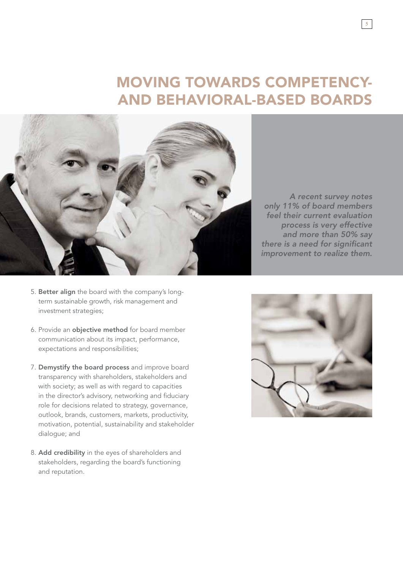## Moving towards competency-**AND BEHAVIORAL-BASED BOARDS**



- 5. Better align the board with the company's longterm sustainable growth, risk management and investment strategies;
- 6. Provide an objective method for board member communication about its impact, performance, expectations and responsibilities;
- 7. Demystify the board process and improve board transparency with shareholders, stakeholders and with society; as well as with regard to capacities in the director's advisory, networking and fiduciary role for decisions related to strategy, governance, outlook, brands, customers, markets, productivity, motivation, potential, sustainability and stakeholder dialogue; and
- 8. Add credibility in the eyes of shareholders and stakeholders, regarding the board's functioning and reputation.

*A recent survey notes only 11% of board members feel their current evaluation process is very effective and more than 50% say there is a need for significant improvement to realize them.*

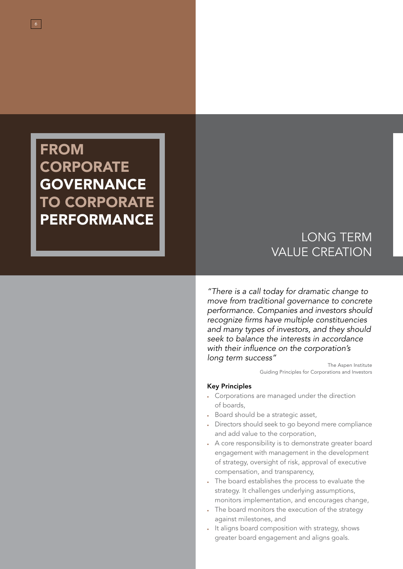## **FROM CORPORATE GOVERNANCE** TO CORPORATE PERFORMANCE

*"There is a call today for dramatic change to move from traditional governance to concrete performance. Companies and investors should recognize firms have multiple constituencies and many types of investors, and they should seek to balance the interests in accordance with their influence on the corporation's long term success"*

> The Aspen Institute Guiding Principles for Corporations and Investors

LONG TERM

VALUE CREATION

#### Key Principles

- Corporations are managed under the direction of boards,
- Board should be a strategic asset,
- Directors should seek to go beyond mere compliance and add value to the corporation,
- A core responsibility is to demonstrate greater board engagement with management in the development of strategy, oversight of risk, approval of executive compensation, and transparency,
- The board establishes the process to evaluate the strategy. It challenges underlying assumptions, monitors implementation, and encourages change,
- The board monitors the execution of the strategy against milestones, and
- It aligns board composition with strategy, shows greater board engagement and aligns goals.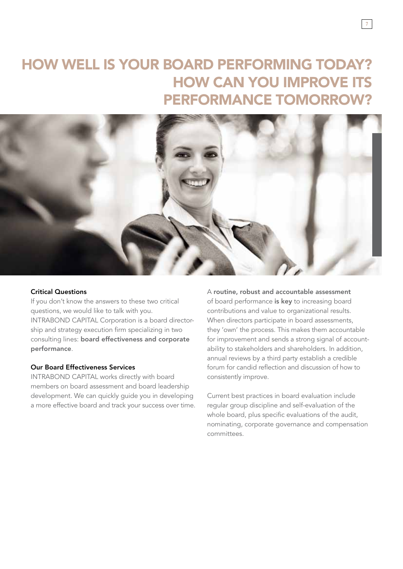## How well is your board performing today? How can you improve its performance tomorrow?



#### Critical Questions

If you don't know the answers to these two critical questions, we would like to talk with you. INTRABOND CAPITAL Corporation is a board directorship and strategy execution firm specializing in two consulting lines: board effectiveness and corporate performance.

### Our Board Effectiveness Services

INTRABOND CAPITAL works directly with board members on board assessment and board leadership development. We can quickly guide you in developing a more effective board and track your success over time. A routine, robust and accountable assessment of board performance is key to increasing board contributions and value to organizational results. When directors participate in board assessments, they 'own' the process. This makes them accountable for improvement and sends a strong signal of accountability to stakeholders and shareholders. In addition, annual reviews by a third party establish a credible forum for candid reflection and discussion of how to consistently improve.

Current best practices in board evaluation include regular group discipline and self-evaluation of the whole board, plus specific evaluations of the audit, nominating, corporate governance and compensation committees.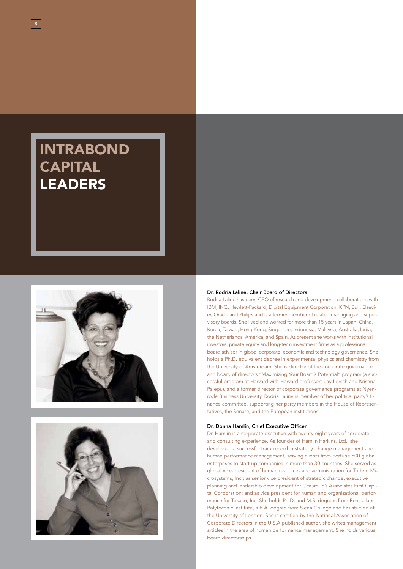# **INTRABOND CAPITAL LEADERS**





#### Dr. Rodria Laline, Chair Board of Directors

Rodria Laline has been CEO of research and development collaborations with IBM, ING, Hewlett-Packard, Digital Equipment Corporation, KPN, Bull, Elsevier, Oracle and Philips and is a former member of related managing and supervisory boards. She lived and worked for more than 15 years in Japan, China, Korea, Taiwan, Hong Kong, Singapore, Indonesia, Malaysia, Australia, India, the Netherlands, America, and Spain. At present she works with institutional investors, private equity and long-term investment firms as a professional board advisor in global corporate, economic and technology governance. She holds a Ph.D. equivalent degree in experimental physics and chemistry from the University of Amsterdam. She is director of the corporate governance and board of directors "Maximizing Your Board's Potential" program (a successful program at Harvard with Harvard professors Jay Lorsch and Krishna Palepu), and a former director of corporate governance programs at Nyenrode Business University. Rodria Laline is member of her political party's finance committee, supporting her party members in the House of Representatives, the Senate, and the European institutions.

#### Dr. Donna Hamlin, Chief Executive Officer

Dr. Hamlin is a corporate executive with twenty-eight years of corporate and consulting experience. As founder of Hamlin Harkins, Ltd., she developed a successful track record in strategy, change management and human performance management, serving clients from Fortune 500 global enterprises to start-up companies in more than 30 countries. She served as global vice-president of human resources and administration for Trident Microsystems, Inc.; as senior vice president of strategic change, executive planning and leadership development for CitiGroup's Associates First Capital Corporation; and as vice president for human and organizational performance for Texaco, Inc. She holds Ph.D. and M.S. degrees from Rensselaer Polytechnic Institute, a B.A. degree from Siena College and has studied at the University of London. She is certified by the National Association of Corporate Directors in the U.S.A published author, she writes management articles in the area of human performance management. She holds various board directorships.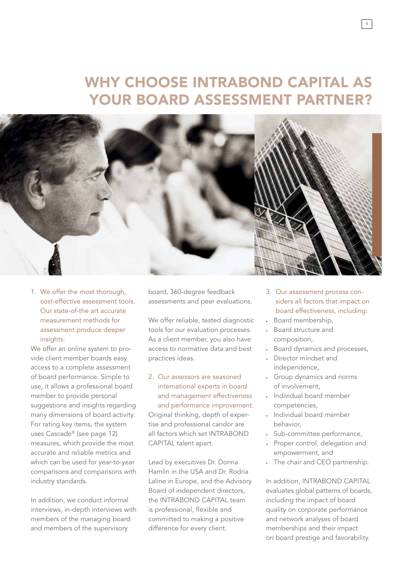## Why choose INTRABOND CAPITAL as your board assessment partner?



1. We offer the most thorough, cost-effective assessment tools. Our state-of-the art accurate measurement methods for assessment produce deeper insights.

We offer an online system to provide client member boards easy access to a complete assessment of board performance. Simple to use, it allows a professional board member to provide personal suggestions and insights regarding many dimensions of board activity. For rating key items, the system uses Cascade® (see page 12) measures, which provide the most accurate and reliable metrics and which can be used for year-to-year comparisons and comparisons with industry standards.

In addition, we conduct informal interviews, in-depth interviews with members of the managing board and members of the supervisory

board, 360-degree feedback assessments and peer evaluations.

We offer reliable, tested diagnostic tools for our evaluation processes. As a client member, you also have access to normative data and best practices ideas.

2. Our assessors are seasoned international experts in board and management effectiveness and performance improvement. Original thinking, depth of expertise and professional candor are all factors which set INTRABOND CAPITAL talent apart.

Lead by executives Dr. Donna Hamlin in the USA and Dr. Rodria Laline in Europe, and the Advisory Board of independent directors, the INTRABOND CAPITAL team is professional, flexible and committed to making a positive difference for every client.

3. Our assessment process considers all factors that impact on board effectiveness, including:

9

- Board membership,
- Board structure and composition,
- Board dynamics and processes,
- Director mindset and independence,
- Group dynamics and norms of involvement,
- Individual board member competencies,
- Individual board member behavior,
- Sub-committee performance,
- Proper control, delegation and empowerment, and
- The chair and CEO partnership.

In addition, INTRABOND CAPITAL evaluates global patterns of boards, including the impact of board quality on corporate performance and network analyses of board memberships and their impact on board prestige and favorability.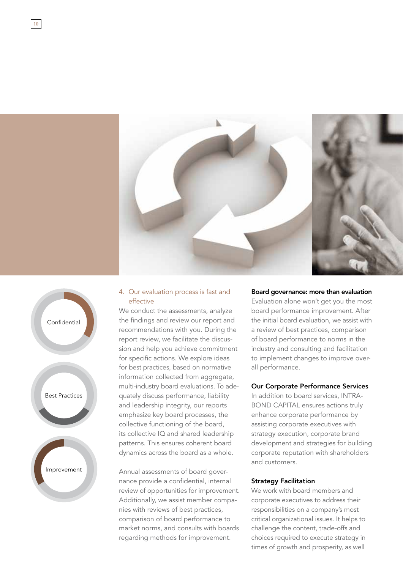



10

#### 4. Our evaluation process is fast and effective

We conduct the assessments, analyze the findings and review our report and recommendations with you. During the report review, we facilitate the discussion and help you achieve commitment for specific actions. We explore ideas for best practices, based on normative information collected from aggregate, multi-industry board evaluations. To adequately discuss performance, liability and leadership integrity, our reports emphasize key board processes, the collective functioning of the board, its collective IQ and shared leadership patterns. This ensures coherent board dynamics across the board as a whole.

Annual assessments of board governance provide a confidential, internal review of opportunities for improvement. Additionally, we assist member companies with reviews of best practices, comparison of board performance to market norms, and consults with boards regarding methods for improvement.

#### Board governance: more than evaluation

Evaluation alone won't get you the most board performance improvement. After the initial board evaluation, we assist with a review of best practices, comparison of board performance to norms in the industry and consulting and facilitation to implement changes to improve overall performance.

#### Our Corporate Performance Services

In addition to board services, INTRA-BOND CAPITAL ensures actions truly enhance corporate performance by assisting corporate executives with strategy execution, corporate brand development and strategies for building corporate reputation with shareholders and customers.

#### Strategy Facilitation

We work with board members and corporate executives to address their responsibilities on a company's most critical organizational issues. It helps to challenge the content, trade-offs and choices required to execute strategy in times of growth and prosperity, as well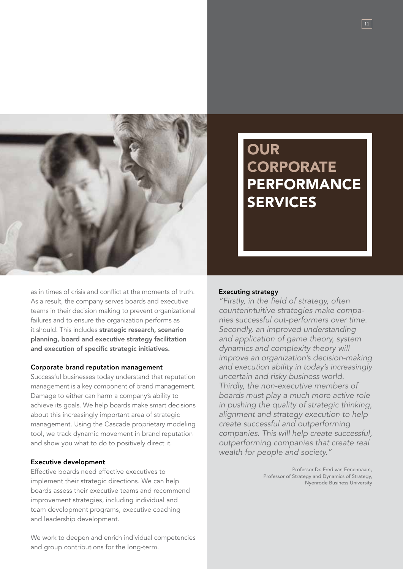

as in times of crisis and conflict at the moments of truth. As a result, the company serves boards and executive teams in their decision making to prevent organizational failures and to ensure the organization performs as it should. This includes strategic research, scenario planning, board and executive strategy facilitation and execution of specific strategic initiatives.

#### Corporate brand reputation management

Successful businesses today understand that reputation management is a key component of brand management. Damage to either can harm a company's ability to achieve its goals. We help boards make smart decisions about this increasingly important area of strategic management. Using the Cascade proprietary modeling tool, we track dynamic movement in brand reputation and show you what to do to positively direct it.

#### Executive development

Effective boards need effective executives to implement their strategic directions. We can help boards assess their executive teams and recommend improvement strategies, including individual and team development programs, executive coaching and leadership development.

We work to deepen and enrich individual competencies and group contributions for the long-term.

## **OUR CORPORATE PERFORMANCE SERVICES**

#### Executing strategy

*"Firstly, in the field of strategy, often counterintuitive strategies make companies successful out-performers over time. Secondly, an improved understanding and application of game theory, system dynamics and complexity theory will improve an organization's decision-making and execution ability in today's increasingly uncertain and risky business world. Thirdly, the non-executive members of boards must play a much more active role in pushing the quality of strategic thinking, alignment and strategy execution to help create successful and outperforming companies. This will help create successful, outperforming companies that create real wealth for people and society."*

> Professor Dr. Fred van Eenennaam, Professor of Strategy and Dynamics of Strategy, Nyenrode Business University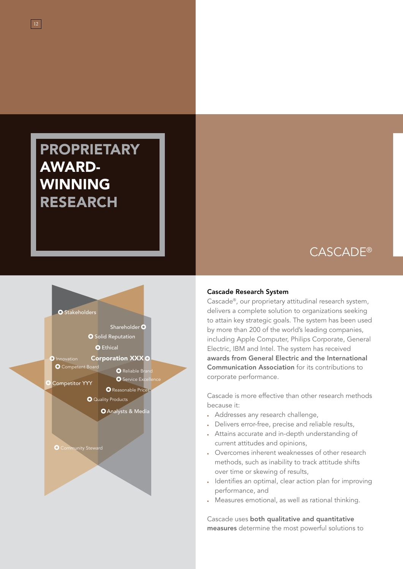## **PROPRIETARY** AWARD-WINNING RESEARCH



## Cascade®

#### Cascade Research System

Cascade®, our proprietary attitudinal research system, delivers a complete solution to organizations seeking to attain key strategic goals. The system has been used by more than 200 of the world's leading companies, including Apple Computer, Philips Corporate, General Electric, IBM and Intel. The system has received awards from General Electric and the International Communication Association for its contributions to corporate performance.

Cascade is more effective than other research methods because it:

- Addresses any research challenge,
- Delivers error-free, precise and reliable results,
- Attains accurate and in-depth understanding of current attitudes and opinions,
- Overcomes inherent weaknesses of other research methods, such as inability to track attitude shifts over time or skewing of results,
- Identifies an optimal, clear action plan for improving performance, and
- Measures emotional, as well as rational thinking.

Cascade uses both qualitative and quantitative measures determine the most powerful solutions to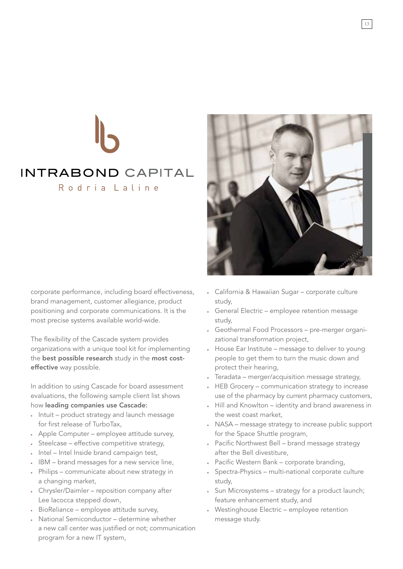# INTRABOND CAPITAL Rodria Laline

corporate performance, including board effectiveness, brand management, customer allegiance, product positioning and corporate communications. It is the most precise systems available world-wide.

The flexibility of the Cascade system provides organizations with a unique tool kit for implementing the best possible research study in the most costeffective way possible.

In addition to using Cascade for board assessment evaluations, the following sample client list shows how leading companies use Cascade:

- Intuit product strategy and launch message for first release of TurboTax,
- Apple Computer employee attitude survey,
- Steelcase effective competitive strategy,
- Intel Intel Inside brand campaign test,
- IBM brand messages for a new service line,
- Philips communicate about new strategy in a changing market,
- Chrysler/Daimler reposition company after Lee Iacocca stepped down,
- BioReliance employee attitude survey,
- National Semiconductor determine whether a new call center was justified or not; communication program for a new IT system,



- California & Hawaiian Sugar corporate culture study,
- General Electric employee retention message study,
- Geothermal Food Processors pre-merger organizational transformation project,
- House Ear Institute message to deliver to young people to get them to turn the music down and protect their hearing,
- Teradata merger/acquisition message strategy,
- HEB Grocery communication strategy to increase use of the pharmacy by current pharmacy customers,
- Hill and Knowlton identity and brand awareness in the west coast market,
- NASA message strategy to increase public support for the Space Shuttle program,
- Pacific Northwest Bell brand message strategy after the Bell divestiture,
- Pacific Western Bank corporate branding,
- Spectra-Physics multi-national corporate culture study,
- Sun Microsystems strategy for a product launch; feature enhancement study, and
- Westinghouse Electric employee retention message study.

13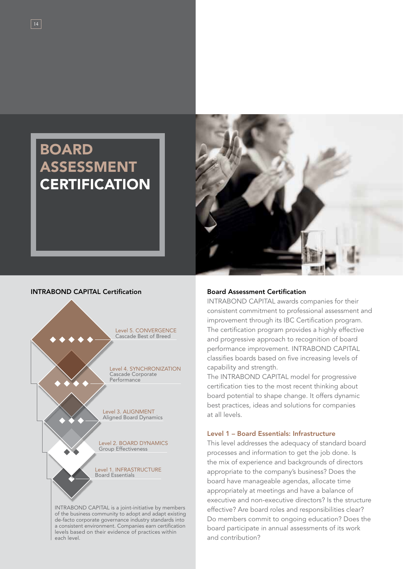## **BOARD ASSESSMENT CERTIFICATION**



#### Intrabond Capital Certification



INTRABOND CAPITAL is a joint-initiative by members of the business community to adopt and adapt existing de-facto corporate governance industry standards into a consistent environment. Companies earn certification levels based on their evidence of practices within each level.

#### Board Assessment Certification

INTRABOND CAPITAL awards companies for their consistent commitment to professional assessment and improvement through its IBC Certification program. The certification program provides a highly effective and progressive approach to recognition of board performance improvement. INTRABOND CAPITAL classifies boards based on five increasing levels of capability and strength.

The INTRABOND CAPITAL model for progressive certification ties to the most recent thinking about board potential to shape change. It offers dynamic best practices, ideas and solutions for companies at all levels.

#### Level 1 – Board Essentials: Infrastructure

This level addresses the adequacy of standard board processes and information to get the job done. Is the mix of experience and backgrounds of directors appropriate to the company's business? Does the board have manageable agendas, allocate time appropriately at meetings and have a balance of executive and non-executive directors? Is the structure effective? Are board roles and responsibilities clear? Do members commit to ongoing education? Does the board participate in annual assessments of its work and contribution?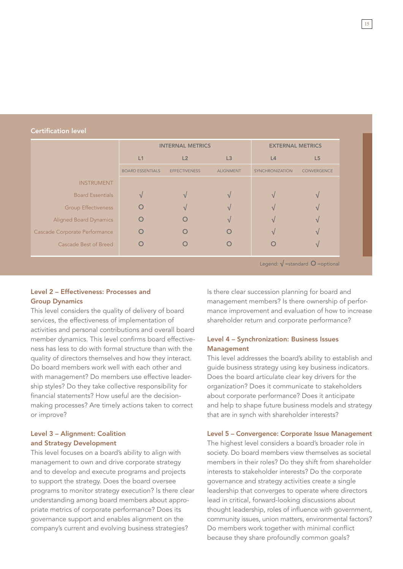#### Certification level

|                               | <b>INTERNAL METRICS</b> |                      |                  | <b>EXTERNAL METRICS</b> |                    |
|-------------------------------|-------------------------|----------------------|------------------|-------------------------|--------------------|
|                               | L1                      | L2                   | L3               | L4                      | L5                 |
|                               | <b>BOARD ESSENTIALS</b> | <b>EFFECTIVENESS</b> | <b>ALIGNMENT</b> | <b>SYNCHRONIZATION</b>  | <b>CONVERGENCE</b> |
| <b>INSTRUMENT</b>             |                         |                      |                  |                         |                    |
| <b>Board Essentials</b>       |                         |                      |                  |                         |                    |
| <b>Group Effectiveness</b>    |                         |                      |                  |                         |                    |
| <b>Aligned Board Dynamics</b> |                         |                      |                  |                         |                    |
| Cascade Corporate Performance |                         |                      |                  |                         |                    |
| Cascade Best of Breed         |                         |                      |                  |                         |                    |
|                               |                         |                      |                  | $\mathbf{I}$            |                    |

Legend:  $\sqrt{\ }$ =standard  $\degree$  =optional

#### Level 2 – Effectiveness: Processes and Group Dynamics

This level considers the quality of delivery of board services, the effectiveness of implementation of activities and personal contributions and overall board member dynamics. This level confirms board effectiveness has less to do with formal structure than with the quality of directors themselves and how they interact. Do board members work well with each other and with management? Do members use effective leadership styles? Do they take collective responsibility for financial statements? How useful are the decisionmaking processes? Are timely actions taken to correct or improve?

#### Level 3 – Alignment: Coalition and Strategy Development

This level focuses on a board's ability to align with management to own and drive corporate strategy and to develop and execute programs and projects to support the strategy. Does the board oversee programs to monitor strategy execution? Is there clear understanding among board members about appropriate metrics of corporate performance? Does its governance support and enables alignment on the company's current and evolving business strategies?

Is there clear succession planning for board and management members? Is there ownership of performance improvement and evaluation of how to increase shareholder return and corporate performance?

#### Level 4 – Synchronization: Business Issues Management

This level addresses the board's ability to establish and guide business strategy using key business indicators. Does the board articulate clear key drivers for the organization? Does it communicate to stakeholders about corporate performance? Does it anticipate and help to shape future business models and strategy that are in synch with shareholder interests?

#### Level 5 – Convergence: Corporate Issue Management

The highest level considers a board's broader role in society. Do board members view themselves as societal members in their roles? Do they shift from shareholder interests to stakeholder interests? Do the corporate governance and strategy activities create a single leadership that converges to operate where directors lead in critical, forward-looking discussions about thought leadership, roles of influence with government, community issues, union matters, environmental factors? Do members work together with minimal conflict because they share profoundly common goals?